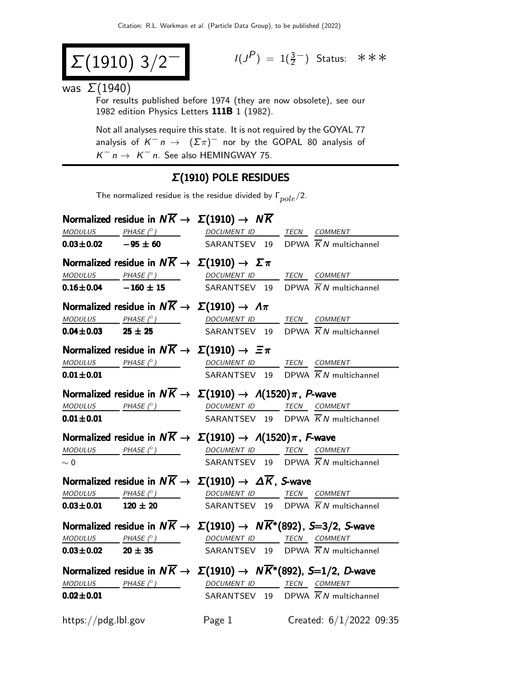$$
\Sigma(1910) 3/2^-
$$

$$
I(J^{P}) = 1(\frac{3}{2}^{-})
$$
 Status:  $\ast \ast \ast$ 

was  $\Sigma(1940)$ 

For results published before 1974 (they are now obsolete), see our 1982 edition Physics Letters 111B 1 (1982).

Not all analyses require this state. It is not required by the GOYAL 77 analysis of  $K^ n \to (\Sigma \pi)^-$  nor by the GOPAL 80 analysis of  $K^-$  n  $\rightarrow$  K<sup>-</sup> n. See also HEMINGWAY 75.

### Σ(1910) POLE RESIDUES

The normalized residue is the residue divided by  $\Gamma_{pole}/2$ .

|                             | Normalized residue in $N\overline{K} \rightarrow \Sigma(1910) \rightarrow N\overline{K}$                                                                                                                                                                                                                                                                                                                                                                                   |        |  |                                                |
|-----------------------------|----------------------------------------------------------------------------------------------------------------------------------------------------------------------------------------------------------------------------------------------------------------------------------------------------------------------------------------------------------------------------------------------------------------------------------------------------------------------------|--------|--|------------------------------------------------|
|                             |                                                                                                                                                                                                                                                                                                                                                                                                                                                                            |        |  |                                                |
|                             | $\frac{MODULUS}{10.03 \pm 0.02}$ $\frac{PHASE (°)}{-95 \pm 60}$ $\frac{DOCUMENT ID}{SARANTSEV}$ $\frac{TECN}{19}$ $\frac{COMMENT}{KN}$ multichannel                                                                                                                                                                                                                                                                                                                        |        |  |                                                |
|                             | Normalized residue in $N\overline{K} \to \Sigma(1910) \to \Sigma \pi$                                                                                                                                                                                                                                                                                                                                                                                                      |        |  |                                                |
|                             |                                                                                                                                                                                                                                                                                                                                                                                                                                                                            |        |  |                                                |
|                             | $\frac{MODULUS}{D.16 \pm 0.04}$ $\frac{PHASE (P)}{D.16 \pm 15}$ $\frac{DOCUMENT ID}{SARANTSEV}$ $\frac{TECN}{D}$ $\frac{COMMENT}{KN}$ multichannel                                                                                                                                                                                                                                                                                                                         |        |  |                                                |
|                             | Normalized residue in $N\overline{K} \rightarrow \Sigma(1910) \rightarrow \Lambda \pi$                                                                                                                                                                                                                                                                                                                                                                                     |        |  |                                                |
|                             | $\begin{array}{ccccccccc} \textit{MODULUS} & \textit{PHASE (}^\circ ) & \textit{DOCUMENT ID} & \textit{TECN} & \textit{COMMENT} & \textit{S.} \end{array}$                                                                                                                                                                                                                                                                                                                 |        |  |                                                |
| $0.04 \pm 0.03$ 25 $\pm$ 25 |                                                                                                                                                                                                                                                                                                                                                                                                                                                                            |        |  | SARANTSEV 19 DPWA $\overline{K}N$ multichannel |
|                             | Normalized residue in $N\overline{K} \rightarrow \Sigma(1910) \rightarrow \Xi \pi$                                                                                                                                                                                                                                                                                                                                                                                         |        |  |                                                |
|                             | MODULUS PHASE (°) DOCUMENT ID TECN COMMENT                                                                                                                                                                                                                                                                                                                                                                                                                                 |        |  |                                                |
| $0.01 \pm 0.01$             |                                                                                                                                                                                                                                                                                                                                                                                                                                                                            |        |  | SARANTSEV 19 DPWA $\overline{K}N$ multichannel |
|                             | Normalized residue in $N\overline{K} \to \Sigma(1910) \to \Lambda(1520)\pi$ , P-wave                                                                                                                                                                                                                                                                                                                                                                                       |        |  |                                                |
|                             | MODULUS PHASE (°) DOCUMENT ID TECN COMMENT                                                                                                                                                                                                                                                                                                                                                                                                                                 |        |  |                                                |
| $0.01 + 0.01$               |                                                                                                                                                                                                                                                                                                                                                                                                                                                                            |        |  | SARANTSEV 19 DPWA $\overline{K}N$ multichannel |
|                             | Normalized residue in $N\overline{K} \to \Sigma(1910) \to \Lambda(1520)\pi$ , F-wave                                                                                                                                                                                                                                                                                                                                                                                       |        |  |                                                |
|                             | MODULUS PHASE (°) DOCUMENT ID TECN COMMENT                                                                                                                                                                                                                                                                                                                                                                                                                                 |        |  |                                                |
| $\sim 0$                    |                                                                                                                                                                                                                                                                                                                                                                                                                                                                            |        |  | SARANTSEV 19 DPWA $\overline{K}N$ multichannel |
|                             | Normalized residue in $N\overline{K} \to \Sigma(1910) \to \Delta \overline{K}$ , S-wave                                                                                                                                                                                                                                                                                                                                                                                    |        |  |                                                |
|                             | $\begin{array}{ccccccccc}\textit{MODULUS} & \textit{PHASE (}^{\circ}) & \textit{} & \textit{DOCUMENT ID} & \textit{TECN} & \textit{COMMENT} & \textit{} \end{array}$                                                                                                                                                                                                                                                                                                       |        |  |                                                |
|                             | <b>0.03±0.01</b> 120 ± 20 SARANTSEV 19 DPWA $\overline{K}N$ multichannel                                                                                                                                                                                                                                                                                                                                                                                                   |        |  |                                                |
|                             | Normalized residue in $N\overline{K} \to \Sigma(1910) \to N\overline{K}^*(892)$ , S=3/2, S-wave                                                                                                                                                                                                                                                                                                                                                                            |        |  |                                                |
|                             | $\begin{array}{ccccccccc} \textit{MODULUS} & \textit{PHASE}& \texttt{?)} & \textit{DOCUMENT} & \textit{ID} & \textit{TECN} & \textit{COMMENT} & \textit{ONMENT} & \textit{ONMENT} & \textit{ONMENT} & \textit{ONMENT} & \textit{ONMENT} & \textit{ONMENT} & \textit{ONMENT} & \textit{ONMENT} & \textit{ONMENT} & \textit{ONMENT} & \textit{ONMENT} & \textit{ONMENT} & \textit{ONMENT} & \textit{ONMENT} & \textit{ONMENT} & \textit{ONMENT} & \textit{ONMENT} & \textit$ |        |  |                                                |
|                             | $0.03 \pm 0.02$ 20 $\pm$ 35                                                                                                                                                                                                                                                                                                                                                                                                                                                |        |  | SARANTSEV 19 DPWA $\overline{K}N$ multichannel |
|                             | Normalized residue in $N\overline{K} \to \Sigma(1910) \to N\overline{K}^*(892)$ , S=1/2, D-wave                                                                                                                                                                                                                                                                                                                                                                            |        |  |                                                |
|                             | $MODULUS$ PHASE $(°)$                                                                                                                                                                                                                                                                                                                                                                                                                                                      |        |  | DOCUMENT ID TECN COMMENT                       |
| $0.02 \pm 0.01$             |                                                                                                                                                                                                                                                                                                                                                                                                                                                                            |        |  | SARANTSEV 19 DPWA $\overline{K}N$ multichannel |
| https://pdg.lbl.gov         |                                                                                                                                                                                                                                                                                                                                                                                                                                                                            | Page 1 |  | Created: 6/1/2022 09:35                        |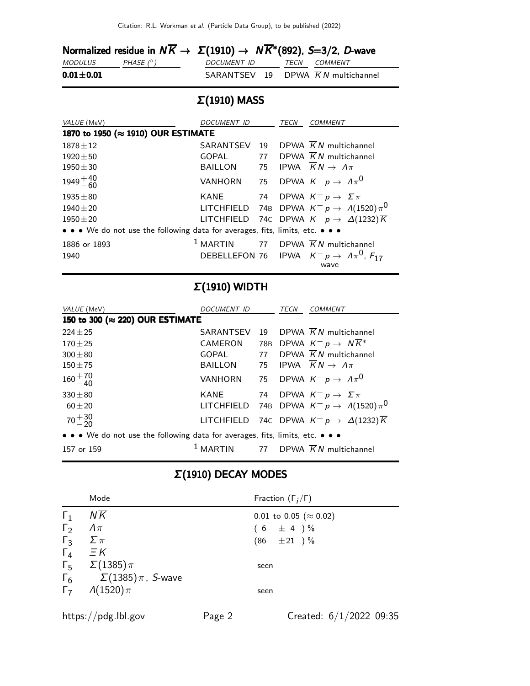|                 | Normalized residue in $N\overline{K} \to \Sigma(1910) \to N\overline{K}^*(892)$ , S=3/2, D-wave |             |  |                                   |
|-----------------|-------------------------------------------------------------------------------------------------|-------------|--|-----------------------------------|
| <i>MODULUS</i>  | PHASE $(^\circ)$                                                                                | DOCUMENT ID |  | <i>TECN COMMENT</i>               |
| $0.01 \pm 0.01$ |                                                                                                 |             |  | SARANTSEV 19 DPWA KN multichannel |

# Σ(1910) MASS

| VALUE (MeV)                                                                   | DOCUMENT ID    |    | TECN | <i>COMMENT</i>                                                          |
|-------------------------------------------------------------------------------|----------------|----|------|-------------------------------------------------------------------------|
| 1870 to 1950 (≈ 1910) OUR ESTIMATE                                            |                |    |      |                                                                         |
| $1878 + 12$                                                                   | SARANTSEV      | 19 |      | DPWA $\overline{K}N$ multichannel                                       |
| $1920 \pm 50$                                                                 | <b>GOPAL</b>   | 77 |      | DPWA $\overline{K}N$ multichannel                                       |
| $1950 \pm 30$                                                                 | <b>BAILLON</b> |    |      | 75 IPWA $\overline{K}N \rightarrow \Lambda \pi$                         |
| $1949 + 40$                                                                   | VANHORN        |    |      | 75 DPWA $K^- \rho \rightarrow \ A \pi^0$                                |
| $1935 \pm 80$                                                                 | KANE           | 74 |      | DPWA $K^- p \to \Sigma \pi$                                             |
| $1940 \pm 20$                                                                 |                |    |      | LITCHFIELD 74B DPWA $K^- p \rightarrow A(1520) \pi^0$                   |
| $1950 + 20$                                                                   |                |    |      | LITCHFIELD 74C DPWA $K^- p \to \Delta(1232) \overline{K}$               |
| • • • We do not use the following data for averages, fits, limits, etc. • • • |                |    |      |                                                                         |
| 1886 or 1893                                                                  |                |    |      | <sup>1</sup> MARTIN 77 DPWA $\overline{K}N$ multichannel                |
| 1940                                                                          |                |    |      | DEBELLEFON 76 IPWA $K^- p \rightarrow \Lambda \pi^0$ , $F_{17}$<br>wave |

## Σ(1910) WIDTH

| VALUE (MeV)                                                                   | <b>DOCUMENT ID</b> |    | TECN | <i>COMMENT</i>                                            |  |
|-------------------------------------------------------------------------------|--------------------|----|------|-----------------------------------------------------------|--|
| 150 to 300 (≈ 220) OUR ESTIMATE                                               |                    |    |      |                                                           |  |
| $224 \pm 25$                                                                  | SARANTSEV          | 19 |      | DPWA $\overline{K}N$ multichannel                         |  |
| $170 + 25$                                                                    | <b>CAMERON</b>     |    |      | 78B DPWA $K^- p \rightarrow N \overline{K}^*$             |  |
| $300 + 80$                                                                    | GOPAL              | 77 |      | DPWA $\overline{K}N$ multichannel                         |  |
| $150 + 75$                                                                    | <b>BAILLON</b>     |    |      | 75 IPWA $\overline{K}N \rightarrow \Lambda \pi$           |  |
| $160 + 70$<br>$-40$                                                           | VANHORN            |    |      | 75 DPWA $K^- p \rightarrow A \pi^0$                       |  |
| $330 + 80$                                                                    | <b>KANE</b>        |    |      | 74 DPWA $K^- p \rightarrow \Sigma \pi$                    |  |
| $60 + 20$                                                                     |                    |    |      | LITCHFIELD 74B DPWA $K^- p \rightarrow A(1520) \pi^0$     |  |
| $70 + 30$                                                                     |                    |    |      | LITCHFIELD 74C DPWA $K^- p \to \Delta(1232) \overline{K}$ |  |
| • • • We do not use the following data for averages, fits, limits, etc. • • • |                    |    |      |                                                           |  |
| 157 or 159                                                                    | $1$ MARTIN         |    |      | 77 DPWA $\overline{K}N$ multichannel                      |  |

## Σ(1910) DECAY MODES

|                       | Mode                                  | Fraction $(\Gamma_i/\Gamma)$   |
|-----------------------|---------------------------------------|--------------------------------|
| $\Gamma_1$            | $N\overline{K}$                       | 0.01 to 0.05 ( $\approx$ 0.02) |
| $\Gamma_2$            | $\Lambda\pi$                          | $(6 \pm 4) \%$                 |
| $\Gamma_3$            | $\Sigma \pi$                          | $(86 \pm 21) \%$               |
| $\Gamma_4$ $\equiv$ K |                                       |                                |
|                       | $\Gamma_5 \quad \Sigma(1385)\pi$      | seen                           |
|                       | $\Gamma_6$ $\Sigma(1385)\pi$ , S-wave |                                |
|                       | $\Gamma_7$ $\Lambda(1520)\pi$         | seen                           |
|                       |                                       |                                |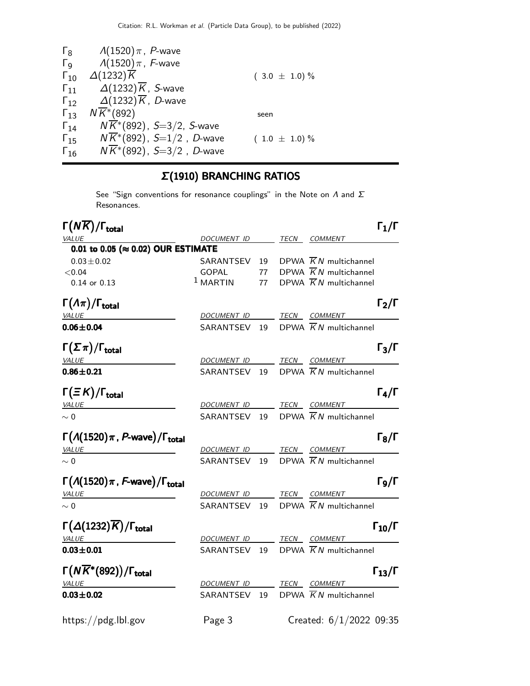| $\mathsf{\Gamma}_8$   | $\Lambda(1520)\pi$ , P-wave            |                   |
|-----------------------|----------------------------------------|-------------------|
| $\Gamma_{\mathsf{Q}}$ | $\Lambda(1520)\pi$ , F-wave            |                   |
| $\Gamma_{10}$         | $\Delta(1232)\overline{K}$             | $(3.0 \pm 1.0)\%$ |
| $\Gamma_{11}$         | $\Delta(1232)\overline{K}$ , S-wave    |                   |
| $\Gamma_{12}$         | $\Delta(1232)\overline{K}$ , D-wave    |                   |
| $\Gamma_{13}$         | $N\overline{K}$ <sup>*</sup> (892)     | seen              |
| $\Gamma_{14}$         | $N\overline{K}^*(892)$ , S=3/2, S-wave |                   |
| $\Gamma_{15}$         | $N\overline{K}$ *(892), S=1/2, D-wave  | $(1.0 \pm 1.0)\%$ |
| $\Gamma_{16}$         | $N\overline{K}^*(892)$ , S=3/2, D-wave |                   |

# Σ(1910) BRANCHING RATIOS

See "Sign conventions for resonance couplings" in the Note on  $\Lambda$  and  $\Sigma$ Resonances.

| $\Gamma(N\overline{K})/\Gamma_{\rm total}$             |                          |    | $\Gamma_1/\Gamma$                              |
|--------------------------------------------------------|--------------------------|----|------------------------------------------------|
| <b>VALUE</b>                                           | DOCUMENT ID TECN COMMENT |    |                                                |
| 0.01 to 0.05 (≈ 0.02) OUR ESTIMATE                     |                          |    |                                                |
| $0.03 \pm 0.02$                                        | SARANTSEV                | 19 | DPWA $\overline{K}N$ multichannel              |
| < 0.04                                                 | <b>GOPAL</b>             | 77 | DPWA $\overline{K}N$ multichannel              |
| $0.14$ or $0.13$                                       | $1$ MARTIN               | 77 | DPWA $\overline{K}N$ multichannel              |
| $\Gamma(\Lambda \pi)/\Gamma_{\rm total}$               |                          |    | $\Gamma_2/\Gamma$                              |
| <b>VALUE</b>                                           | DOCUMENT ID TECN COMMENT |    |                                                |
| $0.06 \pm 0.04$                                        | SARANTSEV 19             |    | DPWA $\overline{K}N$ multichannel              |
| $\Gamma(\Sigma \pi)/\Gamma_{\rm total}$                |                          |    | $\Gamma_3/\Gamma$                              |
| <b>VALUE</b>                                           | DOCUMENT ID TECN COMMENT |    |                                                |
| $0.86 \pm 0.21$                                        | SARANTSEV                |    | 19 DPWA $\overline{K}N$ multichannel           |
| $\Gamma(\equiv K)/\Gamma_{\rm total}$                  |                          |    | $\Gamma_4/\Gamma$                              |
| <b>VALUE</b>                                           | DOCUMENT ID              |    | TECN COMMENT                                   |
| $\sim 0$                                               | SARANTSEV                |    | 19 DPWA $\overline{K}N$ multichannel           |
| $\Gamma(A(1520)\pi, P$ -wave)/ $\Gamma_{\text{total}}$ |                          |    | $\Gamma_8/\Gamma$                              |
| <b>VALUE</b>                                           | DOCUMENT ID              |    | TECN COMMENT                                   |
| $\sim 0$                                               | SARANTSEV                |    | 19 DPWA $\overline{K}N$ multichannel           |
| $\Gamma(A(1520)\pi, F$ -wave)/ $\Gamma_{\text{total}}$ |                          |    | $\Gamma$ 9/Г                                   |
| <b>VALUE</b>                                           | DOCUMENT ID              |    | TECN COMMENT                                   |
| $\sim 0$                                               | SARANTSEV                |    | 19 DPWA $\overline{K}N$ multichannel           |
| $\Gamma(\Delta(1232)\overline{K})/\Gamma_{\rm total}$  |                          |    | $\Gamma_{10}/\Gamma$                           |
| VALUE                                                  | DOCUMENT ID TECN COMMENT |    |                                                |
| $0.03 + 0.01$                                          |                          |    | SARANTSEV 19 DPWA $\overline{K}N$ multichannel |
| $\Gamma(N\overline{K}^*(892))/\Gamma_{\rm total}$      |                          |    | $\Gamma_{13}/\Gamma$                           |
| VALUE                                                  | DOCUMENT ID              |    | TECN COMMENT                                   |
| $0.03 + 0.02$                                          | SARANTSEV                | 19 | DPWA $\overline{K}N$ multichannel              |
| https://pdg.lbl.gov                                    | Page 3                   |    | Created: 6/1/2022 09:35                        |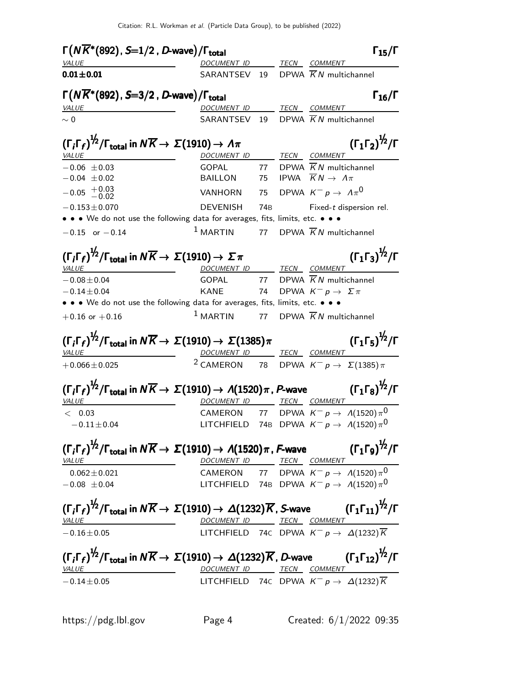| $\Gamma(N\overline{K}^*(892)$ , S=1/2, D-wave)/ $\Gamma_{\rm total}$                                                                                                                                              |                          |                 | $\Gamma_{15}/\Gamma$                                                                 |
|-------------------------------------------------------------------------------------------------------------------------------------------------------------------------------------------------------------------|--------------------------|-----------------|--------------------------------------------------------------------------------------|
| <i>VALUE</i>                                                                                                                                                                                                      | DOCUMENT ID              |                 | TECN COMMENT                                                                         |
| $0.01 \pm 0.01$                                                                                                                                                                                                   | SARANTSEV 19             |                 | DPWA $\overline{K}N$ multichannel                                                    |
| $\Gamma(N\overline{K}^*(892)$ , S=3/2, D-wave)/ $\Gamma_{\text{total}}$                                                                                                                                           |                          |                 | $\Gamma_{16}/\Gamma$                                                                 |
| <b>VALUE</b>                                                                                                                                                                                                      | <u>DOCUMENT ID</u>       |                 | TECN COMMENT                                                                         |
| $\sim 0$                                                                                                                                                                                                          | SARANTSEV 19             |                 | DPWA $\overline{K}N$ multichannel                                                    |
| $(\Gamma_i \Gamma_f)^{\frac{1}{2}} / \Gamma_{\text{total}}$ in $N \overline{K} \rightarrow \Sigma (1910) \rightarrow \Lambda \pi$                                                                                 |                          |                 | $(\Gamma_1 \Gamma_2)^{\frac{1}{2}} / \Gamma$                                         |
| <b>VALUE</b>                                                                                                                                                                                                      | DOCUMENT ID TECN COMMENT |                 |                                                                                      |
| $-0.06 \pm 0.03$<br>$-0.04 \pm 0.02$                                                                                                                                                                              | <b>GOPAL</b><br>BAILLON  | 75              | 77 DPWA $\overline{K}N$ multichannel<br>IPWA $\overline{K}N \rightarrow \Lambda \pi$ |
| $-0.05$ $+0.03$<br>$-0.02$                                                                                                                                                                                        | VANHORN                  | 75              | DPWA $K^- p \rightarrow \Lambda \pi^0$                                               |
|                                                                                                                                                                                                                   |                          |                 |                                                                                      |
| $-0.153 \pm 0.070$                                                                                                                                                                                                | DEVENISH                 | 74 <sub>B</sub> | Fixed-t dispersion rel.                                                              |
| • • • We do not use the following data for averages, fits, limits, etc. • • •                                                                                                                                     |                          |                 |                                                                                      |
| $-0.15$ or $-0.14$                                                                                                                                                                                                | $1$ MARTIN               | 77              | DPWA $\overline{K}N$ multichannel                                                    |
| $(\Gamma_i \Gamma_f)^{1/2} / \Gamma_{\text{total}}$ in $N \overline{K} \rightarrow \Sigma (1910) \rightarrow \Sigma \pi$                                                                                          |                          |                 | $(\Gamma_1 \Gamma_3)^{\frac{1}{2}} / \Gamma$                                         |
| VALUE                                                                                                                                                                                                             | DOCUMENT ID TECN COMMENT |                 |                                                                                      |
| $-0.08 \pm 0.04$                                                                                                                                                                                                  |                          |                 | GOPAL 77 DPWA $\overline{K}N$ multichannel                                           |
| $-0.14 \pm 0.04$                                                                                                                                                                                                  | KANE                     | 74              | DPWA $K^- p \rightarrow \Sigma \pi$                                                  |
| • • • We do not use the following data for averages, fits, limits, etc. • • •                                                                                                                                     |                          |                 |                                                                                      |
| $+0.16$ or $+0.16$                                                                                                                                                                                                | $1$ MARTIN               |                 | 77 DPWA $\overline{K}N$ multichannel                                                 |
| $\left(\Gamma_{i}\Gamma_{f}\right)^{\not\!2}/\Gamma_{\text{total}}$ in $N\overline{K}\rightarrow\Sigma(1910)\rightarrow\Sigma(1385)\pi$                                                                           |                          |                 | $({\Gamma_1 \Gamma_5})^{\frac{1}{2}}/{\Gamma}$                                       |
|                                                                                                                                                                                                                   |                          |                 |                                                                                      |
| VALUE<br>$+0.066 \pm 0.025$                                                                                                                                                                                       | DOCUMENT ID TECN COMMENT |                 | <sup>2</sup> CAMERON 78 DPWA $K^- p \rightarrow \Sigma(1385) \pi$                    |
|                                                                                                                                                                                                                   |                          |                 |                                                                                      |
| $\left(\Gamma_{i}\Gamma_{f}\right)^{\not\!2}/\Gamma_{\text{total}}$ in $N\overline{K}\rightarrow\ \Sigma(1910)\rightarrow\ \mathcal{A}(1520)\pi$ , $P\text{-wave}$                                                |                          |                 | $(\Gamma_1 \Gamma_8)^{\frac{1}{2}} / \Gamma$                                         |
| <i>VALUE</i>                                                                                                                                                                                                      | DOCUMENT ID TECN COMMENT |                 |                                                                                      |
| < 0.03                                                                                                                                                                                                            |                          |                 | CAMERON 77 DPWA $K^- p \rightarrow A(1520) \pi^0$                                    |
| $-0.11 \pm 0.04$                                                                                                                                                                                                  | LITCHFIELD               |                 | 74B DPWA $K^- p \rightarrow A(1520) \pi^0$                                           |
| $(\Gamma_i \Gamma_f)^{\frac{1}{2}} / \Gamma_{\text{total}}$ in $N \overline{K} \to \Sigma (1910) \to \Lambda (1520) \pi$ , F-wave $(\Gamma_1 \Gamma_9)^{\frac{1}{2}} / \Gamma$                                    |                          |                 |                                                                                      |
| <i>VALUE</i>                                                                                                                                                                                                      | DOCUMENT ID TECN COMMENT |                 |                                                                                      |
| $0.062 \pm 0.021$                                                                                                                                                                                                 |                          |                 | CAMERON 77 DPWA $K^- p \rightarrow \Lambda(1520) \pi^0$                              |
| $-0.08 \pm 0.04$                                                                                                                                                                                                  |                          |                 | LITCHFIELD 74B DPWA $K^- p \rightarrow A(1520) \pi^0$                                |
|                                                                                                                                                                                                                   |                          |                 |                                                                                      |
| $(\Gamma_i \Gamma_f)^{1/2}/\Gamma_{\text{total}}$ in $N \overline{K} \to \Sigma (1910) \to \Delta (1232) \overline{K}$ , S-wave $(\Gamma_1 \Gamma_{11})^{1/2}/\Gamma$<br>V <u>ALUE</u>                            | DOCUMENT ID TECN COMMENT |                 |                                                                                      |
| $-0.16 \pm 0.05$                                                                                                                                                                                                  |                          |                 | LITCHFIELD 74C DPWA $K^- p \to \Delta(1232)\overline{K}$                             |
|                                                                                                                                                                                                                   |                          |                 |                                                                                      |
| $(\Gamma_i \Gamma_f)^{\frac{1}{2}} / \Gamma_{\text{total}}$ in $N \overline{K} \to \Sigma (1910) \to \Delta (1232) \overline{K}$ , <i>D</i> -wave $(\Gamma_1 \Gamma_{12})^{\frac{1}{2}} / \Gamma$<br><i>VALUE</i> |                          |                 | DOCUMENT ID TECN COMMENT                                                             |
| $-0.14 \pm 0.05$                                                                                                                                                                                                  |                          |                 | LITCHFIELD 74C DPWA $K^- p \to \Delta(1232) \overline{K}$                            |
|                                                                                                                                                                                                                   |                          |                 |                                                                                      |
|                                                                                                                                                                                                                   |                          |                 |                                                                                      |